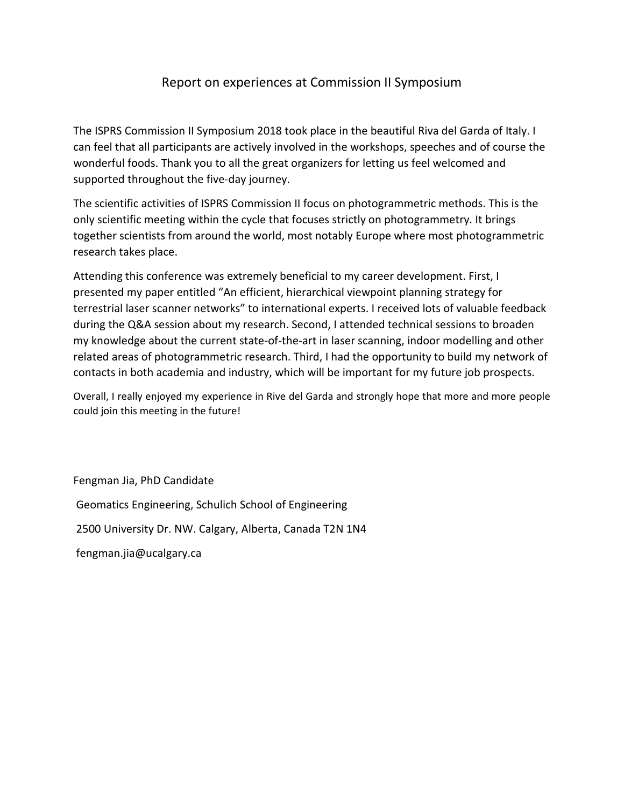## Report on experiences at Commission II Symposium

The ISPRS Commission II Symposium 2018 took place in the beautiful Riva del Garda of Italy. I can feel that all participants are actively involved in the workshops, speeches and of course the wonderful foods. Thank you to all the great organizers for letting us feel welcomed and supported throughout the five-day journey.

The scientific activities of ISPRS Commission II focus on photogrammetric methods. This is the only scientific meeting within the cycle that focuses strictly on photogrammetry. It brings together scientists from around the world, most notably Europe where most photogrammetric research takes place.

Attending this conference was extremely beneficial to my career development. First, I presented my paper entitled "An efficient, hierarchical viewpoint planning strategy for terrestrial laser scanner networks" to international experts. I received lots of valuable feedback during the Q&A session about my research. Second, I attended technical sessions to broaden my knowledge about the current state-of-the-art in laser scanning, indoor modelling and other related areas of photogrammetric research. Third, I had the opportunity to build my network of contacts in both academia and industry, which will be important for my future job prospects.

Overall, I really enjoyed my experience in Rive del Garda and strongly hope that more and more people could join this meeting in the future!

Fengman Jia, PhD Candidate

Geomatics Engineering, Schulich School of Engineering

2500 University Dr. NW. Calgary, Alberta, Canada T2N 1N4

fengman.jia@ucalgary.ca